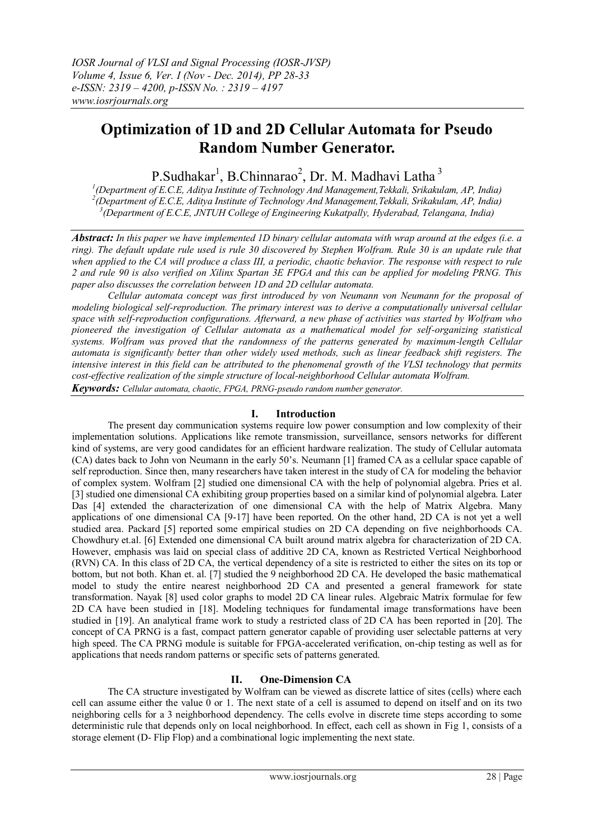# **Optimization of 1D and 2D Cellular Automata for Pseudo Random Number Generator.**

P.Sudhakar<sup>1</sup>, B.Chinnarao<sup>2</sup>, Dr. M. Madhavi Latha<sup>3</sup>

*1 (Department of E.C.E, Aditya Institute of Technology And Management,Tekkali, Srikakulam, AP, India) 2 (Department of E.C.E, Aditya Institute of Technology And Management,Tekkali, Srikakulam, AP, India) 3 (Department of E.C.E, JNTUH College of Engineering Kukatpally, Hyderabad, Telangana, India)*

*Abstract: In this paper we have implemented 1D binary cellular automata with wrap around at the edges (i.e. a ring). The default update rule used is rule 30 discovered by Stephen Wolfram. Rule 30 is an update rule that when applied to the CA will produce a class III, a periodic, chaotic behavior. The response with respect to rule 2 and rule 90 is also verified on Xilinx Spartan 3E FPGA and this can be applied for modeling PRNG. This paper also discusses the correlation between 1D and 2D cellular automata.* 

*Cellular automata concept was first introduced by von Neumann von Neumann for the proposal of modeling biological self-reproduction. The primary interest was to derive a computationally universal cellular space with self-reproduction configurations. Afterward, a new phase of activities was started by Wolfram who pioneered the investigation of Cellular automata as a mathematical model for self-organizing statistical systems. Wolfram was proved that the randomness of the patterns generated by maximum-length Cellular automata is significantly better than other widely used methods, such as linear feedback shift registers. The intensive interest in this field can be attributed to the phenomenal growth of the VLSI technology that permits cost-effective realization of the simple structure of local-neighborhood Cellular automata Wolfram.*

*Keywords: Cellular automata, chaotic, FPGA, PRNG-pseudo random number generator.*

### **I. Introduction**

The present day communication systems require low power consumption and low complexity of their implementation solutions. Applications like remote transmission, surveillance, sensors networks for different kind of systems, are very good candidates for an efficient hardware realization. The study of Cellular automata (CA) dates back to John von Neumann in the early 50's. Neumann [1] framed CA as a cellular space capable of self reproduction. Since then, many researchers have taken interest in the study of CA for modeling the behavior of complex system. Wolfram [2] studied one dimensional CA with the help of polynomial algebra. Pries et al. [3] studied one dimensional CA exhibiting group properties based on a similar kind of polynomial algebra. Later Das [4] extended the characterization of one dimensional CA with the help of Matrix Algebra. Many applications of one dimensional CA [9-17] have been reported. On the other hand, 2D CA is not yet a well studied area. Packard [5] reported some empirical studies on 2D CA depending on five neighborhoods CA. Chowdhury et.al. [6] Extended one dimensional CA built around matrix algebra for characterization of 2D CA. However, emphasis was laid on special class of additive 2D CA, known as Restricted Vertical Neighborhood (RVN) CA. In this class of 2D CA, the vertical dependency of a site is restricted to either the sites on its top or bottom, but not both. Khan et. al. [7] studied the 9 neighborhood 2D CA. He developed the basic mathematical model to study the entire nearest neighborhood 2D CA and presented a general framework for state transformation. Nayak [8] used color graphs to model 2D CA linear rules. Algebraic Matrix formulae for few 2D CA have been studied in [18]. Modeling techniques for fundamental image transformations have been studied in [19]. An analytical frame work to study a restricted class of 2D CA has been reported in [20]. The concept of CA PRNG is a fast, compact pattern generator capable of providing user selectable patterns at very high speed. The CA PRNG module is suitable for FPGA-accelerated verification, on-chip testing as well as for applications that needs random patterns or specific sets of patterns generated.

## **II. One-Dimension CA**

The CA structure investigated by Wolfram can be viewed as discrete lattice of sites (cells) where each cell can assume either the value 0 or 1. The next state of a cell is assumed to depend on itself and on its two neighboring cells for a 3 neighborhood dependency. The cells evolve in discrete time steps according to some deterministic rule that depends only on local neighborhood. In effect, each cell as shown in Fig 1, consists of a storage element (D- Flip Flop) and a combinational logic implementing the next state.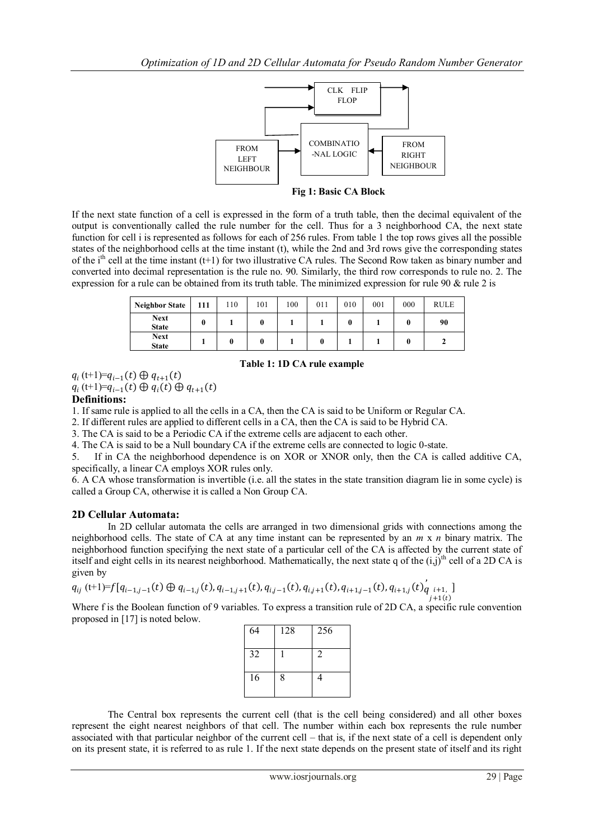

 **Fig 1: Basic CA Block**

If the next state function of a cell is expressed in the form of a truth table, then the decimal equivalent of the output is conventionally called the rule number for the cell. Thus for a 3 neighborhood CA, the next state function for cell i is represented as follows for each of 256 rules. From table 1 the top rows gives all the possible states of the neighborhood cells at the time instant (t), while the 2nd and 3rd rows give the corresponding states of the i<sup>th</sup> cell at the time instant (t+1) for two illustrative CA rules. The Second Row taken as binary number and converted into decimal representation is the rule no. 90. Similarly, the third row corresponds to rule no. 2. The expression for a rule can be obtained from its truth table. The minimized expression for rule 90 & rule 2 is

| <b>Neighbor State</b>       | 111 | 110 | 101 | 100 | 011 | 010 | 001 | 000 | <b>RULE</b> |
|-----------------------------|-----|-----|-----|-----|-----|-----|-----|-----|-------------|
| <b>Next</b><br><b>State</b> |     |     |     |     |     |     |     |     | 90          |
| <b>Next</b><br><b>State</b> |     |     |     |     |     |     |     |     |             |

#### **Table 1: 1D CA rule example**

 $q_i(t+1)=q_{i-1}(t) \oplus q_{t+1}(t)$  $q_i(t+1)=q_{i-1}(t) \oplus q_i(t) \oplus q_{t+1}(t)$ 

## **Definitions:**

1. If same rule is applied to all the cells in a CA, then the CA is said to be Uniform or Regular CA.

2. If different rules are applied to different cells in a CA, then the CA is said to be Hybrid CA.

3. The CA is said to be a Periodic CA if the extreme cells are adjacent to each other.

4. The CA is said to be a Null boundary CA if the extreme cells are connected to logic 0-state.

5. If in CA the neighborhood dependence is on XOR or XNOR only, then the CA is called additive CA, specifically, a linear CA employs XOR rules only.

6. A CA whose transformation is invertible (i.e. all the states in the state transition diagram lie in some cycle) is called a Group CA, otherwise it is called a Non Group CA.

## **2D Cellular Automata:**

In 2D cellular automata the cells are arranged in two dimensional grids with connections among the neighborhood cells. The state of CA at any time instant can be represented by an *m* x *n* binary matrix. The neighborhood function specifying the next state of a particular cell of the CA is affected by the current state of itself and eight cells in its nearest neighborhood. Mathematically, the next state q of the  $(i,j)$ <sup>th</sup> cell of a 2D CA is given by ,

$$
q_{ij}(t+1)=f[q_{i-1,j-1}(t) \oplus q_{i-1,j}(t), q_{i-1,j+1}(t), q_{i,j-1}(t), q_{i,j+1}(t), q_{i+1,j-1}(t), q_{i+1,j}(t) \Big|_{\substack{j=1\\j+1(t)}}^{\infty}
$$

Where f is the Boolean function of 9 variables. To express a transition rule of 2D CA, a specific rule convention proposed in [17] is noted below.

| 64 | 128 | 256            |
|----|-----|----------------|
| 32 |     | $\mathfrak{D}$ |
| 16 | 8   | 4              |

The Central box represents the current cell (that is the cell being considered) and all other boxes represent the eight nearest neighbors of that cell. The number within each box represents the rule number associated with that particular neighbor of the current cell – that is, if the next state of a cell is dependent only on its present state, it is referred to as rule 1. If the next state depends on the present state of itself and its right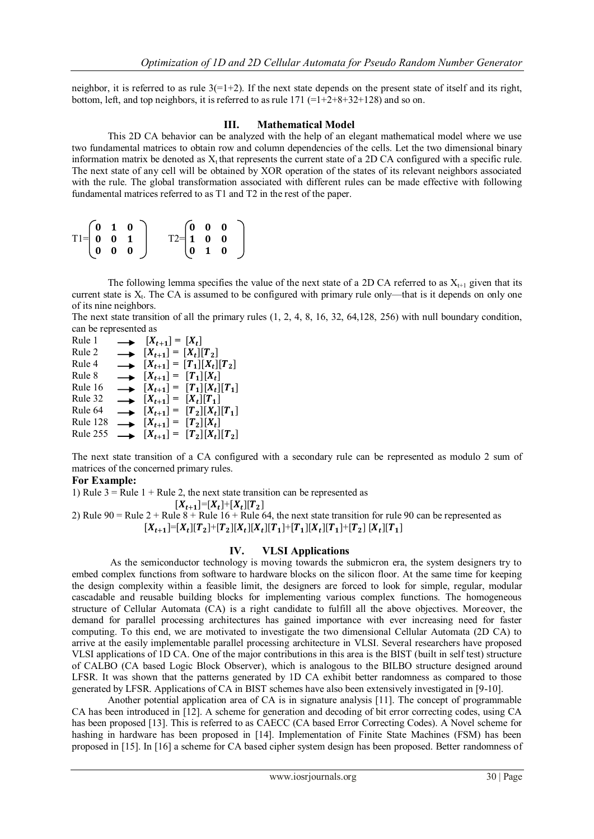neighbor, it is referred to as rule  $3(=1+2)$ . If the next state depends on the present state of itself and its right, bottom, left, and top neighbors, it is referred to as rule  $171$  ( $=1+2+8+32+128$ ) and so on.

#### **III. Mathematical Model**

This 2D CA behavior can be analyzed with the help of an elegant mathematical model where we use two fundamental matrices to obtain row and column dependencies of the cells. Let the two dimensional binary information matrix be denoted as  $X_t$  that represents the current state of a 2D CA configured with a specific rule. The next state of any cell will be obtained by XOR operation of the states of its relevant neighbors associated with the rule. The global transformation associated with different rules can be made effective with following fundamental matrices referred to as T1 and T2 in the rest of the paper.

|  | $T1 = \begin{pmatrix} 0 & 1 & 0 \\ 0 & 0 & 1 \\ 0 & 0 & 0 \end{pmatrix}$ | $T2 = \begin{pmatrix} 0 & 0 & 0 \\ 1 & 0 & 0 \\ 0 & 1 & 0 \end{pmatrix}$ |  |  |
|--|--------------------------------------------------------------------------|--------------------------------------------------------------------------|--|--|
|  |                                                                          |                                                                          |  |  |
|  |                                                                          |                                                                          |  |  |

The following lemma specifies the value of the next state of a 2D CA referred to as  $X_{t+1}$  given that its current state is  $X_t$ . The CA is assumed to be configured with primary rule only—that is it depends on only one of its nine neighbors.

The next state transition of all the primary rules (1, 2, 4, 8, 16, 32, 64,128, 256) with null boundary condition, can be represented as

| Rule 1          | $\longrightarrow$ $[X_{t+1}] = [X_t]$      |                                                 |
|-----------------|--------------------------------------------|-------------------------------------------------|
| Rule 2          | $\longrightarrow$ $[X_{t+1}] = [X_t][T_2]$ |                                                 |
| Rule 4          |                                            | $\longrightarrow$ $[X_{t+1}] = [T_1][X_t][T_2]$ |
| Rule 8          | $\longrightarrow$ $[X_{t+1}] = [T_1][X_t]$ |                                                 |
| Rule 16         |                                            | $\longrightarrow$ $[X_{t+1}] = [T_1][X_t][T_1]$ |
| Rule 32         | $\longrightarrow$ $[X_{t+1}] = [X_t][T_1]$ |                                                 |
| Rule 64         |                                            | $\longrightarrow$ $[X_{t+1}] = [T_2][X_t][T_1]$ |
| Rule 128        | $\longrightarrow$ $[X_{t+1}] = [T_2][X_t]$ |                                                 |
| <b>Rule 255</b> |                                            | $\longrightarrow$ $[X_{t+1}] = [T_2][X_t][T_2]$ |

The next state transition of a CA configured with a secondary rule can be represented as modulo 2 sum of matrices of the concerned primary rules.

#### **For Example:**

1) Rule  $3 =$ Rule 1 + Rule 2, the next state transition can be represented as

 $[X_{t+1}] = [X_t] + [X_t][T_2]$ 2) Rule 90 = Rule  $2 +$  Rule  $8 +$  Rule 16 + Rule 64, the next state transition for rule 90 can be represented as  $[X_{t+1}]=[X_t][T_2]+[T_2][X_t][X_t][T_1]+[T_1][X_t][T_1]+[T_2][X_t][T_1]$ 

#### **IV. VLSI Applications**

As the semiconductor technology is moving towards the submicron era, the system designers try to embed complex functions from software to hardware blocks on the silicon floor. At the same time for keeping the design complexity within a feasible limit, the designers are forced to look for simple, regular, modular cascadable and reusable building blocks for implementing various complex functions. The homogeneous structure of Cellular Automata (CA) is a right candidate to fulfill all the above objectives. Moreover, the demand for parallel processing architectures has gained importance with ever increasing need for faster computing. To this end, we are motivated to investigate the two dimensional Cellular Automata (2D CA) to arrive at the easily implementable parallel processing architecture in VLSI. Several researchers have proposed VLSI applications of 1D CA. One of the major contributions in this area is the BIST (built in self test) structure of CALBO (CA based Logic Block Observer), which is analogous to the BILBO structure designed around LFSR. It was shown that the patterns generated by 1D CA exhibit better randomness as compared to those generated by LFSR. Applications of CA in BIST schemes have also been extensively investigated in [9-10].

Another potential application area of CA is in signature analysis [11]. The concept of programmable CA has been introduced in [12]. A scheme for generation and decoding of bit error correcting codes, using CA has been proposed [13]. This is referred to as CAECC (CA based Error Correcting Codes). A Novel scheme for hashing in hardware has been proposed in [14]. Implementation of Finite State Machines (FSM) has been proposed in [15]. In [16] a scheme for CA based cipher system design has been proposed. Better randomness of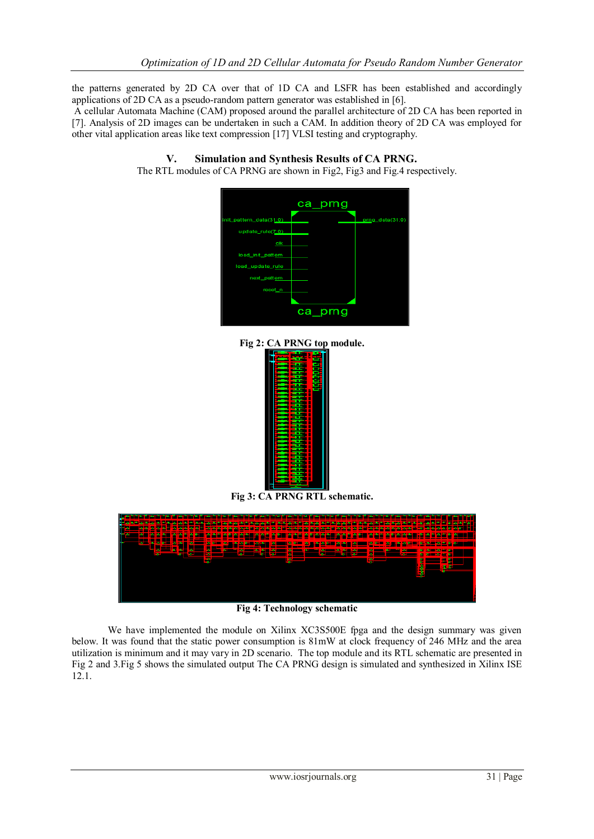the patterns generated by 2D CA over that of 1D CA and LSFR has been established and accordingly applications of 2D CA as a pseudo-random pattern generator was established in [6].

A cellular Automata Machine (CAM) proposed around the parallel architecture of 2D CA has been reported in [7]. Analysis of 2D images can be undertaken in such a CAM. In addition theory of 2D CA was employed for other vital application areas like text compression [17] VLSI testing and cryptography.



**V. Simulation and Synthesis Results of CA PRNG.** The RTL modules of CA PRNG are shown in Fig2, Fig3 and Fig.4 respectively.

**Fig 2: CA PRNG top module.**



**Fig 3: CA PRNG RTL schematic.**



**Fig 4: Technology schematic**

We have implemented the module on Xilinx XC3S500E fpga and the design summary was given below. It was found that the static power consumption is 81mW at clock frequency of 246 MHz and the area utilization is minimum and it may vary in 2D scenario. The top module and its RTL schematic are presented in Fig 2 and 3.Fig 5 shows the simulated output The CA PRNG design is simulated and synthesized in Xilinx ISE 12.1.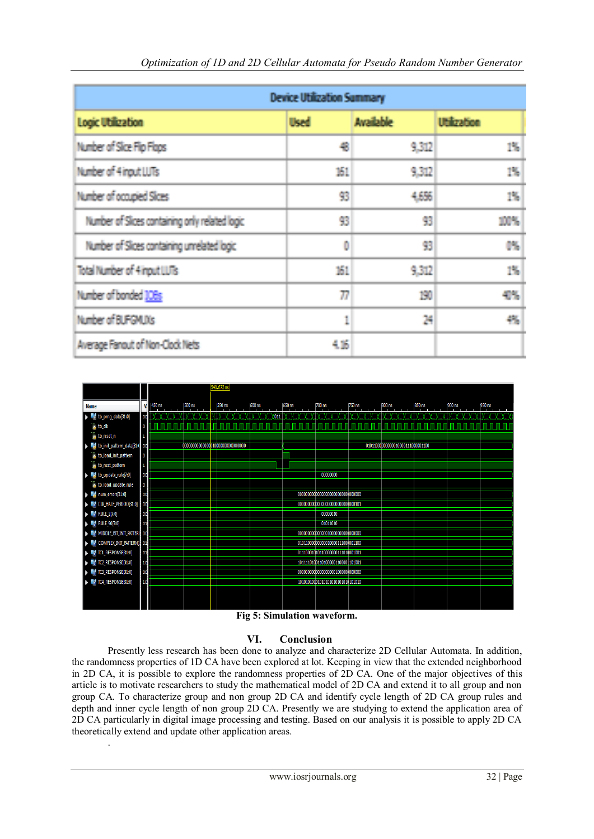| <b>Device Utilization Summary</b>               |             |                  |                    |  |  |  |
|-------------------------------------------------|-------------|------------------|--------------------|--|--|--|
| <b>Logic Utilization</b>                        | <b>Used</b> | <b>Available</b> | <b>Utilization</b> |  |  |  |
| Number of Sice Fito Flaps                       | €           | 9.312            | 15                 |  |  |  |
| Number of 4 input LUTs                          | 161.        | 9.312            | 13                 |  |  |  |
| Number of occupied Slass                        | 93          | 4,6%             | 鵲                  |  |  |  |
| Number of Slices containing only related logic. | 篈           | 93               | 10%                |  |  |  |
| Number of Slices containing unrelated logic     | O           | 93               | 慦                  |  |  |  |
| Total Number of 4 input LLRs                    | 161         | 9,312            | 15,                |  |  |  |
| Number of bonded 108s                           | W           | 130              | 4%                 |  |  |  |
| Number of BUFGMLIXs                             | 1           | 24               | 锩                  |  |  |  |
| Average Fanout of Non-Clock Nets                | 电路          |                  |                    |  |  |  |



#### **Fig 5: Simulation waveform.**

## **VI. Conclusion**

Presently less research has been done to analyze and characterize 2D Cellular Automata. In addition, the randomness properties of 1D CA have been explored at lot. Keeping in view that the extended neighborhood in 2D CA, it is possible to explore the randomness properties of 2D CA. One of the major objectives of this article is to motivate researchers to study the mathematical model of 2D CA and extend it to all group and non group CA. To characterize group and non group 2D CA and identify cycle length of 2D CA group rules and depth and inner cycle length of non group 2D CA. Presently we are studying to extend the application area of 2D CA particularly in digital image processing and testing. Based on our analysis it is possible to apply 2D CA theoretically extend and update other application areas.

.